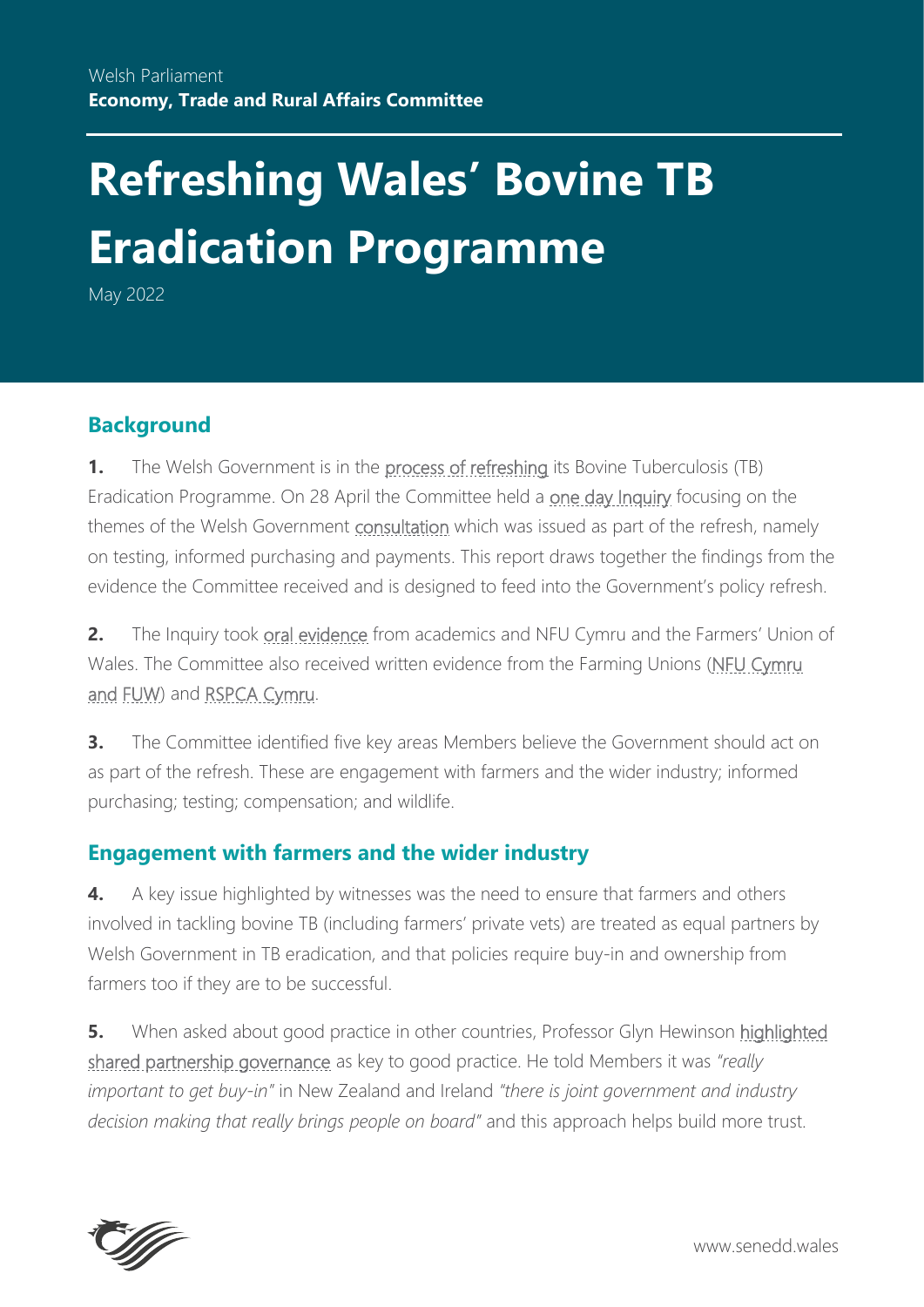# **Refreshing Wales' Bovine TB Eradication Programme**

May 2022

# **Background**

**1.** The Welsh Government is in the [process of refreshing](https://gov.wales/refreshed-tb-eradication-programme-will-build-positive-progress-made-wales-rural-affairs-minister#:~:text=The%20TB%20Eradication%20Programme%20sets,Spreading%20and%20Stamp%20it%20Out.) its Bovine Tuberculosis (TB) Eradication Programme. On 28 April the Committee held a [one day Inquiry](https://business.senedd.wales/ieListDocuments.aspx?CId=738&MId=12807&Ver=4) focusing on the themes of the Welsh Government [consultation](https://gov.wales/sites/default/files/consultations/2021-11/refreshed-tb-consultation-document.pdf) which was issued as part of the refresh, namely on testing, informed purchasing and payments. This report draws together the findings from the evidence the Committee received and is designed to feed into the Government's policy refresh.

**2.** The Inquiry took [oral evidence](http://record.assembly.wales/Meeting/12807) from academics and NFU Cymru and the Farmers' Union of Wales. The Committee also received written evidence from the Farming Unions [\(NFU](https://business.senedd.wales/documents/s124573/Evidence%20from%20National%20Farmers%20Union%20Cymru.pdf) Cymru and [FUW\)](https://business.senedd.wales/documents/s124572/Evidence%20from%20Farmers%20Union%20Wales.pdf) and [RSPCA Cymru.](https://business.senedd.wales/documents/s124574/Evidence%20from%20RSPCA%20Cymru.pdf)

**3.** The Committee identified five key areas Members believe the Government should act on as part of the refresh. These are engagement with farmers and the wider industry; informed purchasing; testing; compensation; and wildlife.

## **Engagement with farmers and the wider industry**

**4.** A key issue highlighted by witnesses was the need to ensure that farmers and others involved in tackling bovine TB (including farmers' private vets) are treated as equal partners by Welsh Government in TB eradication, and that policies require buy-in and ownership from farmers too if they are to be successful.

**5.** When asked about good practice in other countries, Professor Glyn Hewinson highlighted [shared partnership governance](https://record.assembly.wales/Committee/12807#C421054) as key to good practice. He told Members it was *"really important to get buy-in"* in New Zealand and Ireland *"there is joint government and industry decision making that really brings people on board"* and this approach helps build more trust.



www.senedd.wales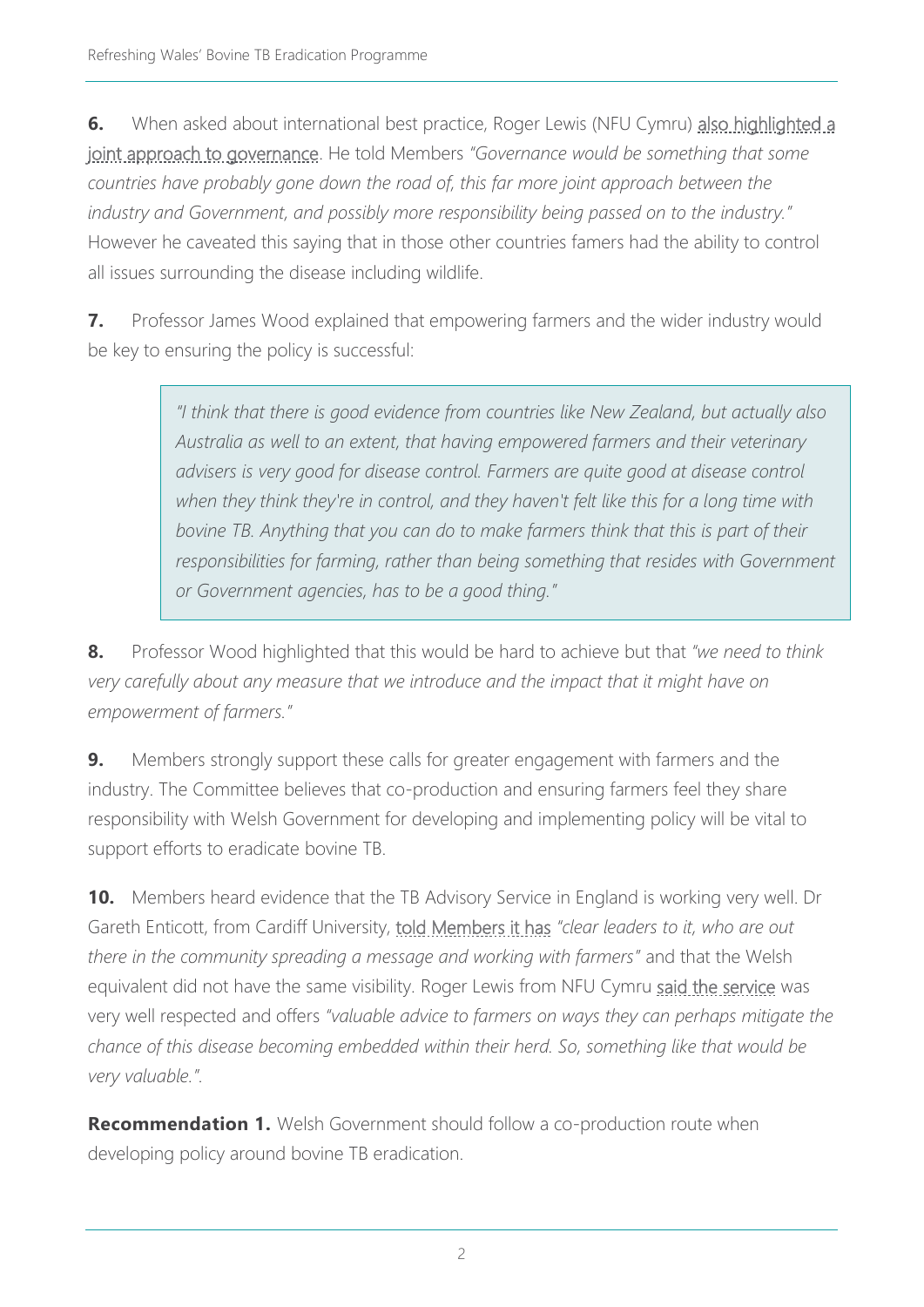**6.** When asked about international best practice, Roger Lewis (NFU Cymru) also highlighted a [joint approach to governance.](https://record.assembly.wales/Committee/12807#C421154) He told Members *"Governance would be something that some countries have probably gone down the road of, this far more joint approach between the industry and Government, and possibly more responsibility being passed on to the industry."*  However he caveated this saying that in those other countries famers had the ability to control all issues surrounding the disease including wildlife.

**7.** Professor James Wood explained that empowering farmers and the wider industry would be key to ensuring the policy is successful:

> *"I think that there is good evidence from countries like New Zealand, but actually also Australia as well to an extent, that having empowered farmers and their veterinary advisers is very good for disease control. Farmers are quite good at disease control when they think they're in control, and they haven't felt like this for a long time with bovine TB. Anything that you can do to make farmers think that this is part of their responsibilities for farming, rather than being something that resides with Government or Government agencies, has to be a good thing."*

**8.** Professor Wood highlighted that this would be hard to achieve but that *"we need to think very carefully about any measure that we introduce and the impact that it might have on empowerment of farmers."*

**9.** Members strongly support these calls for greater engagement with farmers and the industry. The Committee believes that co-production and ensuring farmers feel they share responsibility with Welsh Government for developing and implementing policy will be vital to support efforts to eradicate bovine TB.

**10.** Members heard evidence that the TB Advisory Service in England is working very well. Dr Gareth Enticott, from Cardiff University, [told Members it has](https://record.assembly.wales/Committee/12807) *"clear leaders to it, who are out there in the community spreading a message and working with farmers"* and that the Welsh equivalent did not have the same visibility. Roger Lewis from NFU Cymru [said the service](https://record.assembly.wales/Committee/12807#C421153) was very well respected and offers *"valuable advice to farmers on ways they can perhaps mitigate the chance of this disease becoming embedded within their herd. So, something like that would be very valuable.".*

**Recommendation 1.** Welsh Government should follow a co-production route when developing policy around bovine TB eradication.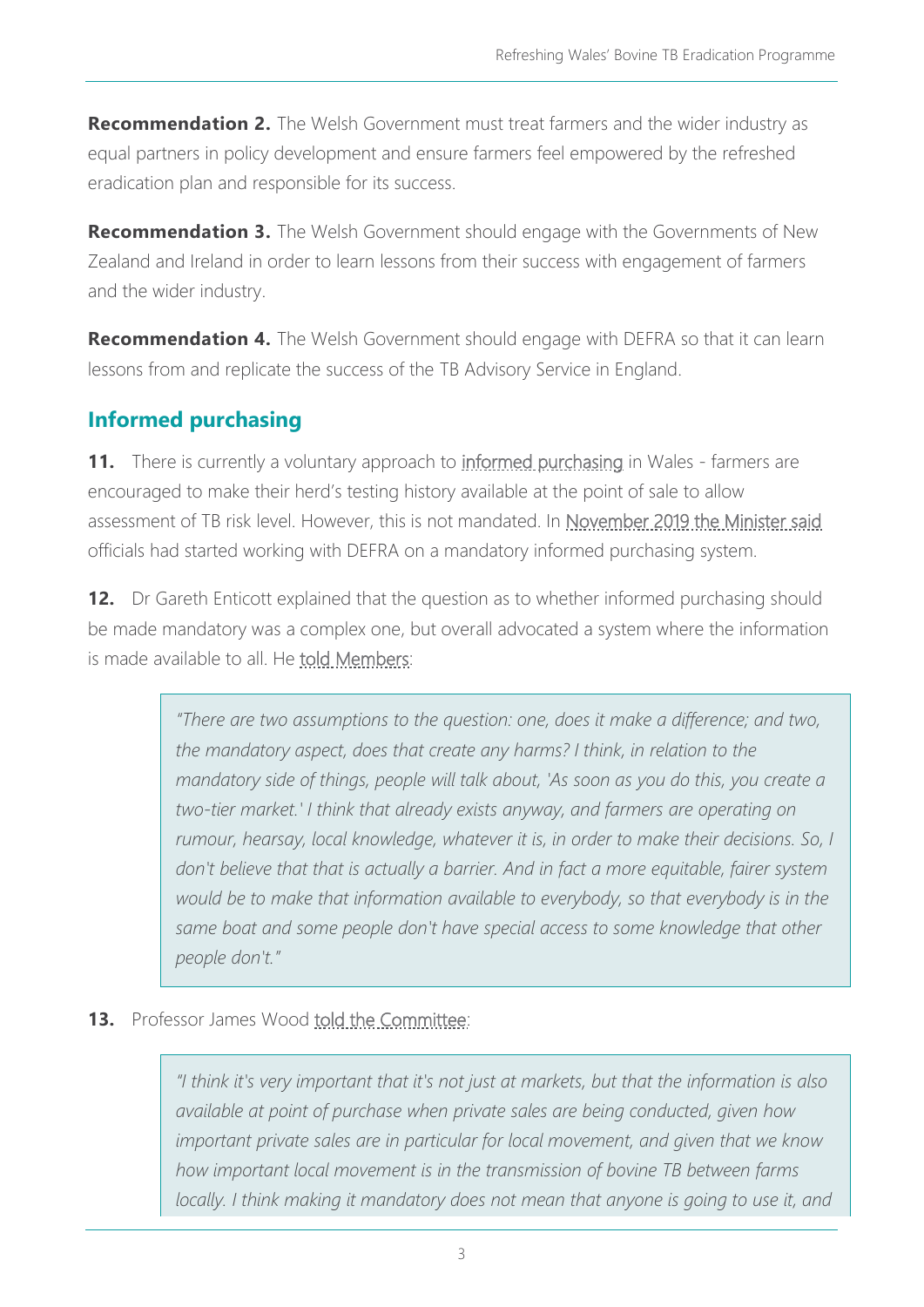**Recommendation 2.** The Welsh Government must treat farmers and the wider industry as equal partners in policy development and ensure farmers feel empowered by the refreshed eradication plan and responsible for its success.

**Recommendation 3.** The Welsh Government should engage with the Governments of New Zealand and Ireland in order to learn lessons from their success with engagement of farmers and the wider industry.

**Recommendation 4.** The Welsh Government should engage with DEFRA so that it can learn lessons from and replicate the success of the TB Advisory Service in England.

# **Informed purchasing**

**11.** There is currently a voluntary approach to [informed purchasing](https://gov.wales/bovine-tb-eradication-programme-frequently-asked-questions) in Wales - farmers are encouraged to make their herd's testing history available at the point of sale to allow assessment of TB risk level. However, this is not mandated. In [November 2019 the Minister said](https://record.assembly.wales/Committee/5704) officials had started working with DEFRA on a mandatory informed purchasing system.

**12.** Dr Gareth Enticott explained that the question as to whether informed purchasing should be made mandatory was a complex one, but overall advocated a system where the information is made available to all. He [told Members:](https://record.assembly.wales/Committee/12807#C421023)

> *"There are two assumptions to the question: one, does it make a difference; and two, the mandatory aspect, does that create any harms? I think, in relation to the mandatory side of things, people will talk about, 'As soon as you do this, you create a two-tier market.' I think that already exists anyway, and farmers are operating on rumour, hearsay, local knowledge, whatever it is, in order to make their decisions. So, I don't believe that that is actually a barrier. And in fact a more equitable, fairer system would be to make that information available to everybody, so that everybody is in the*  same boat and some people don't have special access to some knowledge that other *people don't."*

#### **13.** Professor James Wood [told the Committee:](https://record.assembly.wales/Committee/12807#C421014)

*"I think it's very important that it's not just at markets, but that the information is also available at point of purchase when private sales are being conducted, given how important private sales are in particular for local movement, and given that we know how important local movement is in the transmission of bovine TB between farms*  locally. I think making it mandatory does not mean that anyone is going to use it, and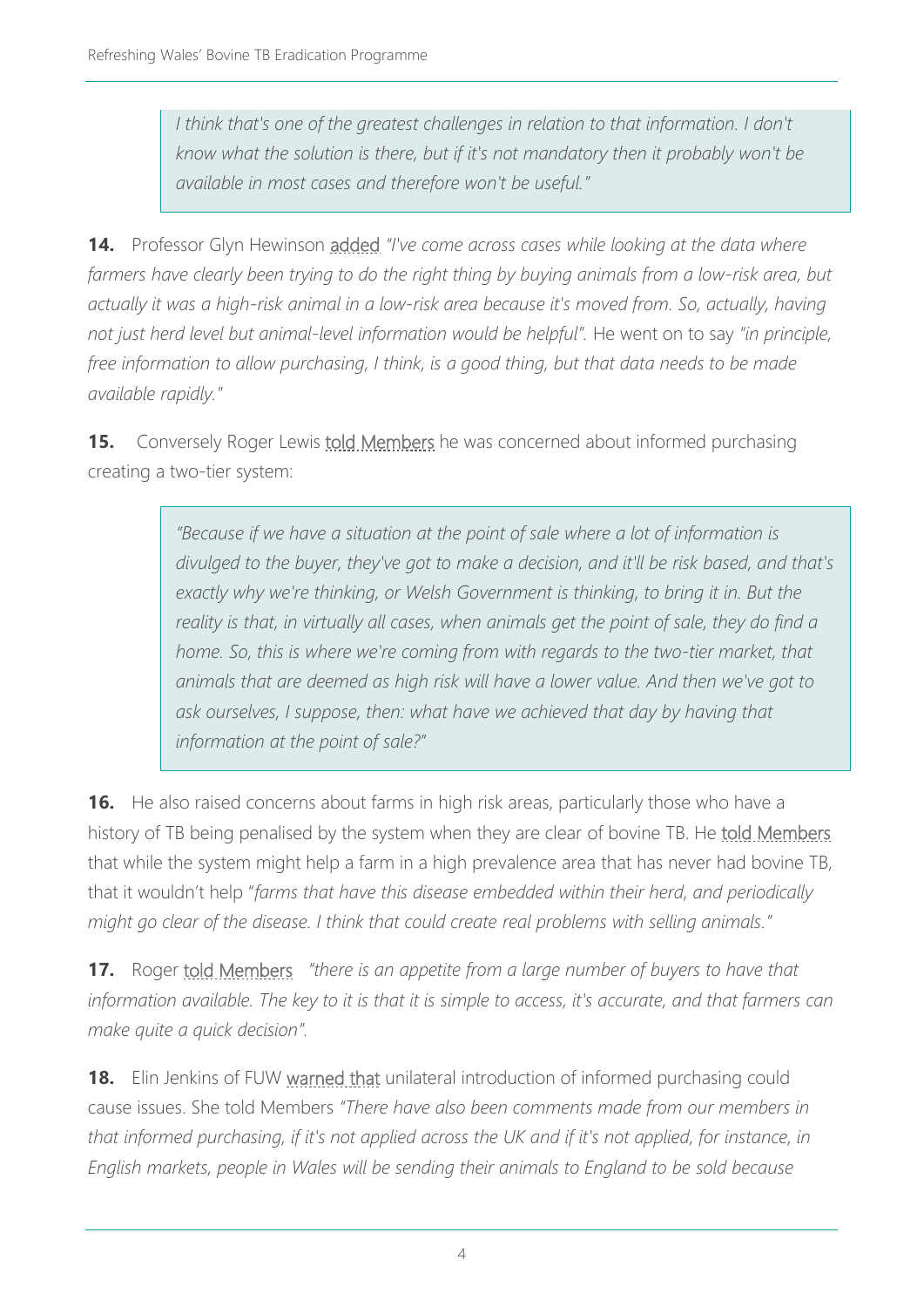*I think that's one of the greatest challenges in relation to that information. I don't know what the solution is there, but if it's not mandatory then it probably won't be available in most cases and therefore won't be useful."*

**14.** Professor Glyn Hewinson [added](https://record.assembly.wales/Committee/12807#C420995) *"I've come across cases while looking at the data where*  farmers have clearly been trying to do the right thing by buying animals from a low-risk area, but *actually it was a high-risk animal in a low-risk area because it's moved from. So, actually, having not just herd level but animal-level information would be helpful".* He went on to say *"in principle, free information to allow purchasing, I think, is a good thing, but that data needs to be made available rapidly."*

**15.** Conversely Roger Lewis **told Members** he was concerned about informed purchasing creating a two-tier system:

> *"Because if we have a situation at the point of sale where a lot of information is divulged to the buyer, they've got to make a decision, and it'll be risk based, and that's*  exactly why we're thinking, or Welsh Government is thinking, to bring it in. But the *reality is that, in virtually all cases, when animals get the point of sale, they do find a home. So, this is where we're coming from with regards to the two-tier market, that animals that are deemed as high risk will have a lower value. And then we've got to ask ourselves, I suppose, then: what have we achieved that day by having that information at the point of sale?"*

**16.** He also raised concerns about farms in high risk areas, particularly those who have a history of TB being penalised by the system when they are clear of bovine TB. He [told Members](https://record.assembly.wales/Committee/12807#C421080) that while the system might help a farm in a high prevalence area that has never had bovine TB, that it wouldn't help "*farms that have this disease embedded within their herd, and periodically might go clear of the disease. I think that could create real problems with selling animals."*

**17.** Roger [told Members](https://record.assembly.wales/Committee/12807#C421155) *"there is an appetite from a large number of buyers to have that information available. The key to it is that it is simple to access, it's accurate, and that farmers can make quite a quick decision".*

**18.** Elin Jenkins of FUW [warned that](https://record.assembly.wales/Committee/12807#C421087) unilateral introduction of informed purchasing could cause issues. She told Members *"There have also been comments made from our members in that informed purchasing, if it's not applied across the UK and if it's not applied, for instance, in English markets, people in Wales will be sending their animals to England to be sold because*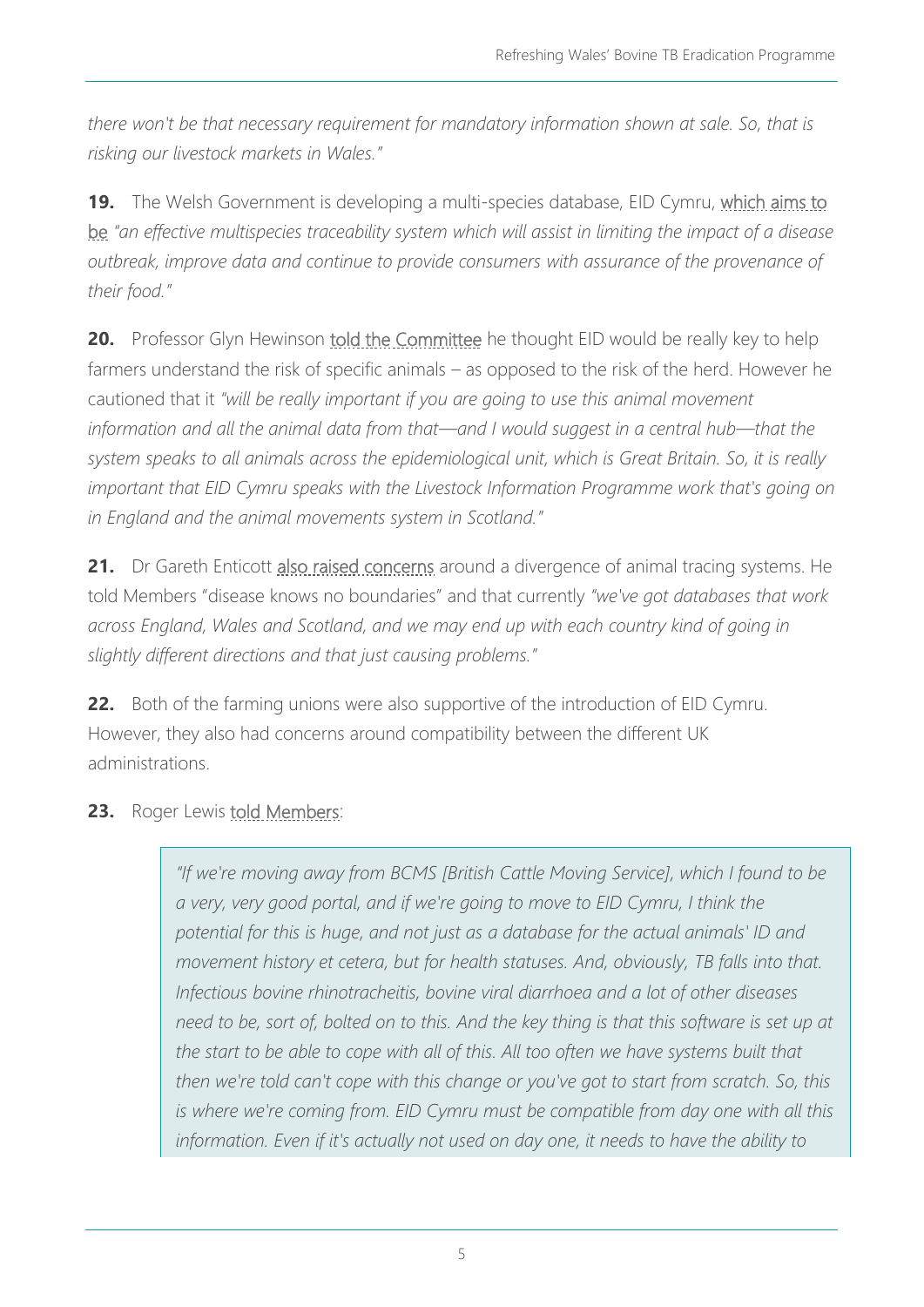*there won't be that necessary requirement for mandatory information shown at sale. So, that is risking our livestock markets in Wales."*

**19.** The Welsh Government is developing a multi-species database, EID Cymru, [which aims to](https://gov.wales/sites/default/files/consultations/2021-11/refreshed-tb-consultation-document.pdf)  [be](https://gov.wales/sites/default/files/consultations/2021-11/refreshed-tb-consultation-document.pdf) *"an effective multispecies traceability system which will assist in limiting the impact of a disease outbreak, improve data and continue to provide consumers with assurance of the provenance of their food."*

**20.** Professor Glyn Hewinson [told the Committee](https://record.assembly.wales/Committee/12807#C420990) he thought EID would be really key to help farmers understand the risk of specific animals – as opposed to the risk of the herd. However he cautioned that it *"will be really important if you are going to use this animal movement information and all the animal data from that—and I would suggest in a central hub—that the system speaks to all animals across the epidemiological unit, which is Great Britain. So, it is really important that EID Cymru speaks with the Livestock Information Programme work that's going on in England and the animal movements system in Scotland."*

**21.** Dr Gareth Enticott [also raised concerns](https://record.assembly.wales/Committee/12807#C421034) around a divergence of animal tracing systems. He told Members "disease knows no boundaries" and that currently *"we've got databases that work across England, Wales and Scotland, and we may end up with each country kind of going in slightly different directions and that just causing problems."*

**22.** Both of the farming unions were also supportive of the introduction of EID Cymru. However, they also had concerns around compatibility between the different UK administrations.

23. Roger Lewis [told Members:](https://record.assembly.wales/Committee/12807#C421156)

*"If we're moving away from BCMS [British Cattle Moving Service], which I found to be a very, very good portal, and if we're going to move to EID Cymru, I think the potential for this is huge, and not just as a database for the actual animals' ID and movement history et cetera, but for health statuses. And, obviously, TB falls into that. Infectious bovine rhinotracheitis, bovine viral diarrhoea and a lot of other diseases need to be, sort of, bolted on to this. And the key thing is that this software is set up at the start to be able to cope with all of this. All too often we have systems built that then we're told can't cope with this change or you've got to start from scratch. So, this is where we're coming from. EID Cymru must be compatible from day one with all this information. Even if it's actually not used on day one, it needs to have the ability to*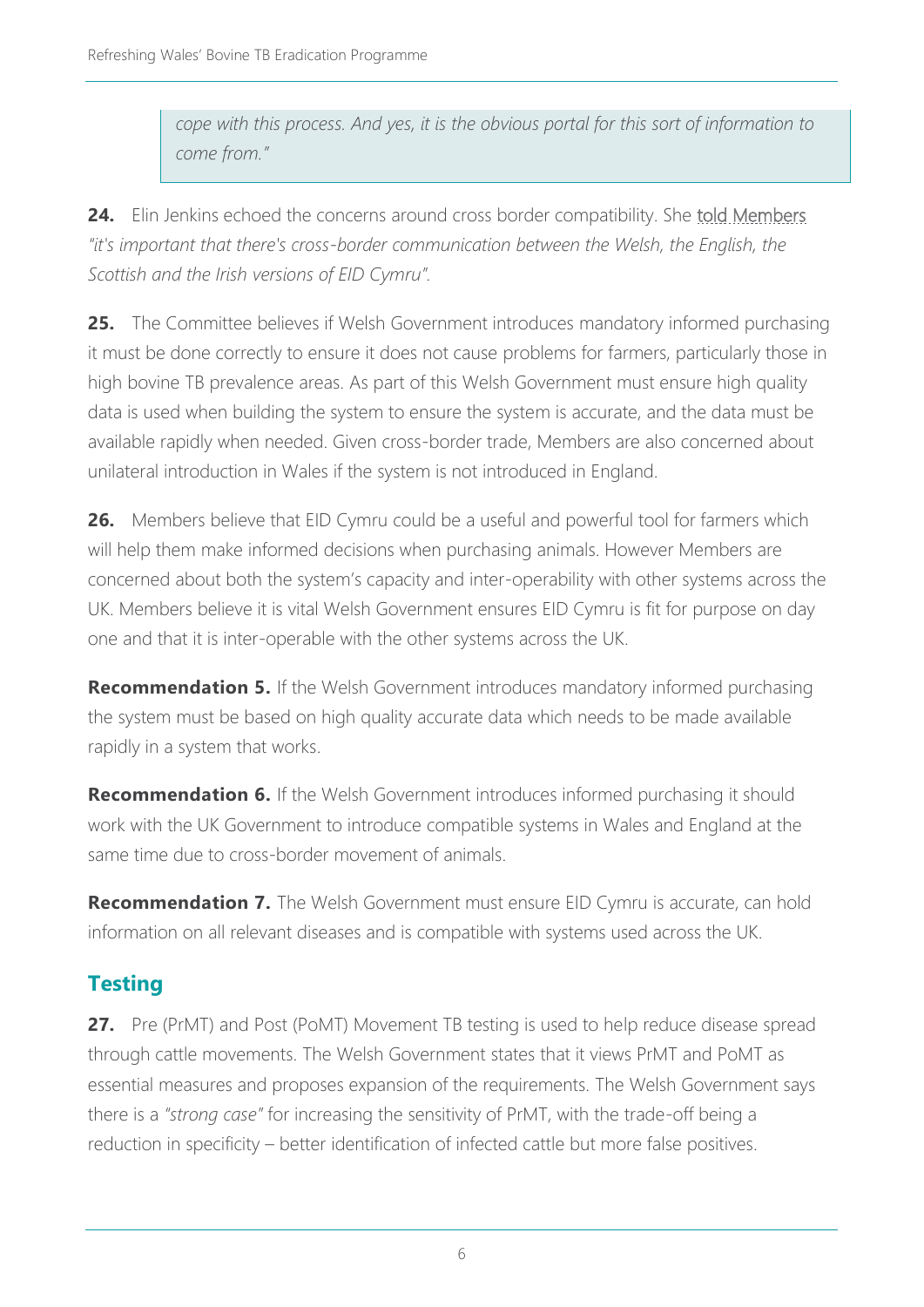*cope with this process. And yes, it is the obvious portal for this sort of information to come from."*

**24.** Elin Jenkins echoed the concerns around cross border compatibility. She [told Members](https://record.assembly.wales/Committee/12807#C421163) *"it's important that there's cross-border communication between the Welsh, the English, the Scottish and the Irish versions of EID Cymru".*

**25.** The Committee believes if Welsh Government introduces mandatory informed purchasing it must be done correctly to ensure it does not cause problems for farmers, particularly those in high bovine TB prevalence areas. As part of this Welsh Government must ensure high quality data is used when building the system to ensure the system is accurate, and the data must be available rapidly when needed. Given cross-border trade, Members are also concerned about unilateral introduction in Wales if the system is not introduced in England.

**26.** Members believe that EID Cymru could be a useful and powerful tool for farmers which will help them make informed decisions when purchasing animals. However Members are concerned about both the system's capacity and inter-operability with other systems across the UK. Members believe it is vital Welsh Government ensures EID Cymru is fit for purpose on day one and that it is inter-operable with the other systems across the UK.

**Recommendation 5.** If the Welsh Government introduces mandatory informed purchasing the system must be based on high quality accurate data which needs to be made available rapidly in a system that works.

**Recommendation 6.** If the Welsh Government introduces informed purchasing it should work with the UK Government to introduce compatible systems in Wales and England at the same time due to cross-border movement of animals.

**Recommendation 7.** The Welsh Government must ensure EID Cymru is accurate, can hold information on all relevant diseases and is compatible with systems used across the UK.

# **Testing**

**27.** Pre (PrMT) and Post (PoMT) Movement TB testing is used to help reduce disease spread through cattle movements. The Welsh Government states that it views PrMT and PoMT as essential measures and proposes expansion of the requirements. The Welsh Government says there is a *"strong case"* for increasing the sensitivity of PrMT, with the trade-off being a reduction in specificity – better identification of infected cattle but more false positives.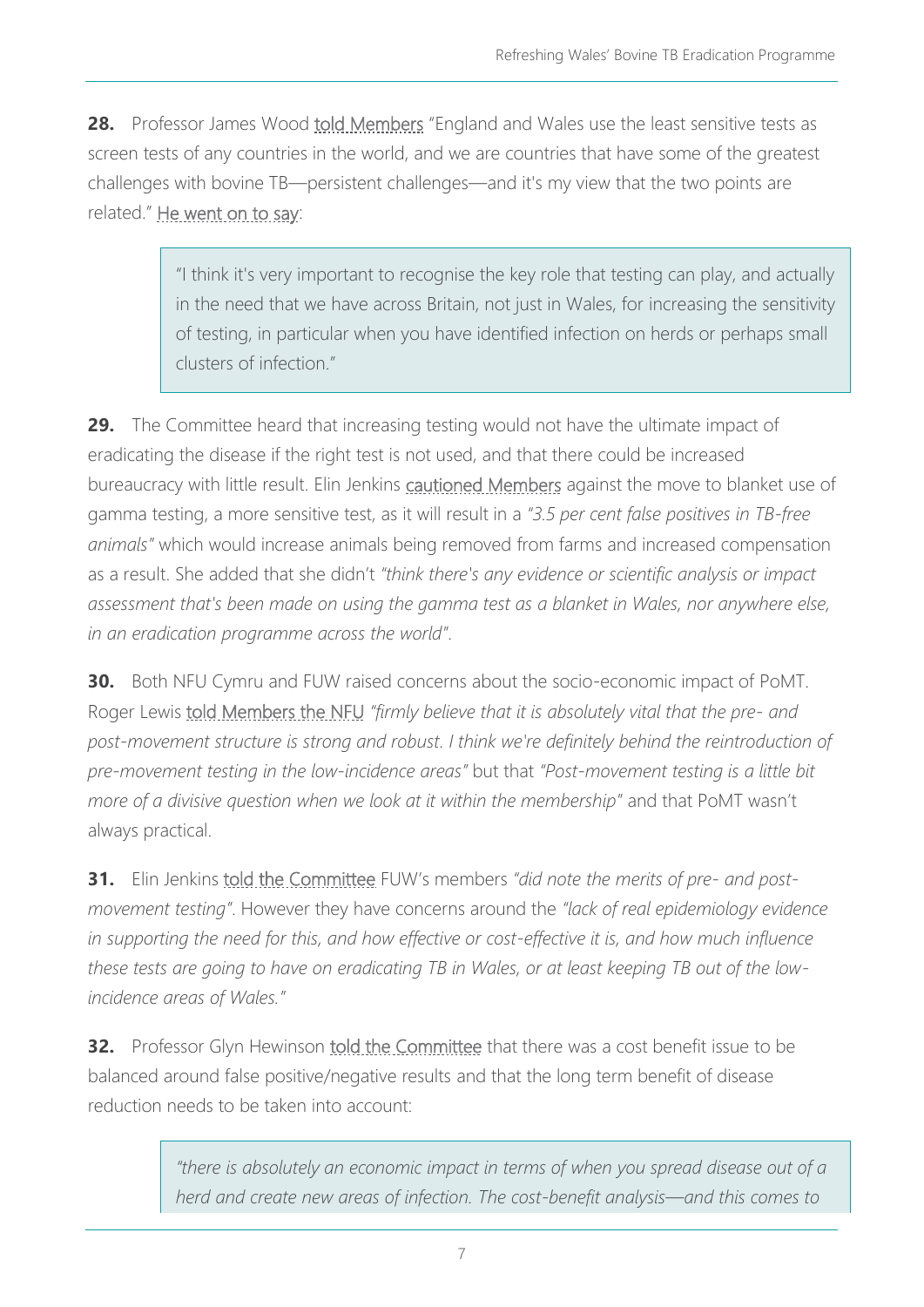**28.** Professor James Wood [told Members](https://record.assembly.wales/Committee/12807#C421021) "England and Wales use the least sensitive tests as screen tests of any countries in the world, and we are countries that have some of the greatest challenges with bovine TB—persistent challenges—and it's my view that the two points are related." [He went on to say:](https://record.assembly.wales/Committee/12807#C420987)

> "I think it's very important to recognise the key role that testing can play, and actually in the need that we have across Britain, not just in Wales, for increasing the sensitivity of testing, in particular when you have identified infection on herds or perhaps small clusters of infection."

**29.** The Committee heard that increasing testing would not have the ultimate impact of eradicating the disease if the right test is not used, and that there could be increased bureaucracy with little result. Elin Jenkins [cautioned Members](https://record.assembly.wales/Committee/12807#C421075) against the move to blanket use of gamma testing, a more sensitive test, as it will result in a *"3.5 per cent false positives in TB-free animals"* which would increase animals being removed from farms and increased compensation as a result. She added that she didn't *"think there's any evidence or scientific analysis or impact assessment that's been made on using the gamma test as a blanket in Wales, nor anywhere else, in an eradication programme across the world"*.

**30.** Both NFU Cymru and FUW raised concerns about the socio-economic impact of PoMT. Roger Lewis [told Members the NFU](https://record.assembly.wales/Committee/12807#C421061) *"firmly believe that it is absolutely vital that the pre- and post-movement structure is strong and robust. I think we're definitely behind the reintroduction of pre-movement testing in the low-incidence areas"* but that *"Post-movement testing is a little bit more of a divisive question when we look at it within the membership"* and that PoMT wasn't always practical.

**31.** Elin Jenkins *told the Committee FUW's members "did note the merits of pre- and postmovement testing"*. However they have concerns around the *"lack of real epidemiology evidence in supporting the need for this, and how effective or cost-effective it is, and how much influence these tests are going to have on eradicating TB in Wales, or at least keeping TB out of the lowincidence areas of Wales."*

**32.** Professor Glyn Hewinson [told the Committee](https://record.assembly.wales/Committee/12807#C421007) that there was a cost benefit issue to be balanced around false positive/negative results and that the long term benefit of disease reduction needs to be taken into account:

> *"there is absolutely an economic impact in terms of when you spread disease out of a herd and create new areas of infection. The cost-benefit analysis—and this comes to*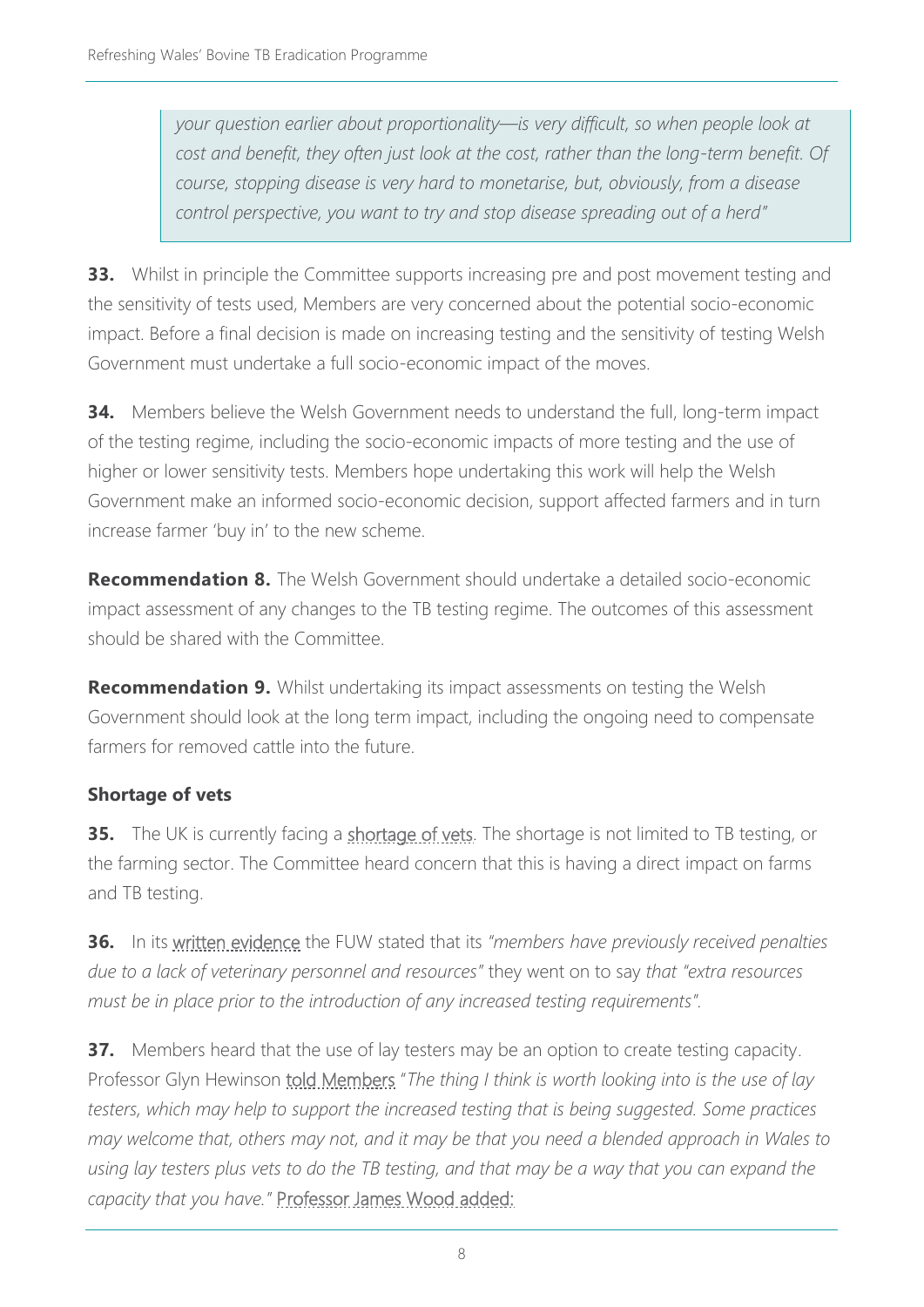*your question earlier about proportionality—is very difficult, so when people look at cost and benefit, they often just look at the cost, rather than the long-term benefit. Of course, stopping disease is very hard to monetarise, but, obviously, from a disease control perspective, you want to try and stop disease spreading out of a herd"*

**33.** Whilst in principle the Committee supports increasing pre and post movement testing and the sensitivity of tests used, Members are very concerned about the potential socio-economic impact. Before a final decision is made on increasing testing and the sensitivity of testing Welsh Government must undertake a full socio-economic impact of the moves.

**34.** Members believe the Welsh Government needs to understand the full, long-term impact of the testing regime, including the socio-economic impacts of more testing and the use of higher or lower sensitivity tests. Members hope undertaking this work will help the Welsh Government make an informed socio-economic decision, support affected farmers and in turn increase farmer 'buy in' to the new scheme.

**Recommendation 8.** The Welsh Government should undertake a detailed socio-economic impact assessment of any changes to the TB testing regime. The outcomes of this assessment should be shared with the Committee.

**Recommendation 9.** Whilst undertaking its impact assessments on testing the Welsh Government should look at the long term impact, including the ongoing need to compensate farmers for removed cattle into the future.

#### **Shortage of vets**

**35.** The UK is currently facing a [shortage of vets.](https://www.bva.co.uk/news-and-blog/news-article/uk-s-veterinary-workforce-crisis-deepens-as-eu-registrant-numbers-drop-by-over-two-thirds-since-brexit/) The shortage is not limited to TB testing, or the farming sector. The Committee heard concern that this is having a direct impact on farms and TB testing.

**36.** In its [written evidence](https://business.senedd.wales/documents/s124572/Evidence%20from%20Farmers%20Union%20Wales.pdf) the FUW stated that its *"members have previously received penalties due to a lack of veterinary personnel and resources"* they went on to say *that "extra resources must be in place prior to the introduction of any increased testing requirements".*

**37.** Members heard that the use of lay testers may be an option to create testing capacity. Professor Glyn Hewinson [told Members](https://record.assembly.wales/Committee/12807#C420980) "*The thing I think is worth looking into is the use of lay testers, which may help to support the increased testing that is being suggested. Some practices may welcome that, others may not, and it may be that you need a blended approach in Wales to using lay testers plus vets to do the TB testing, and that may be a way that you can expand the capacity that you have."* [Professor James Wood added:](https://record.assembly.wales/Committee/12807#C420980)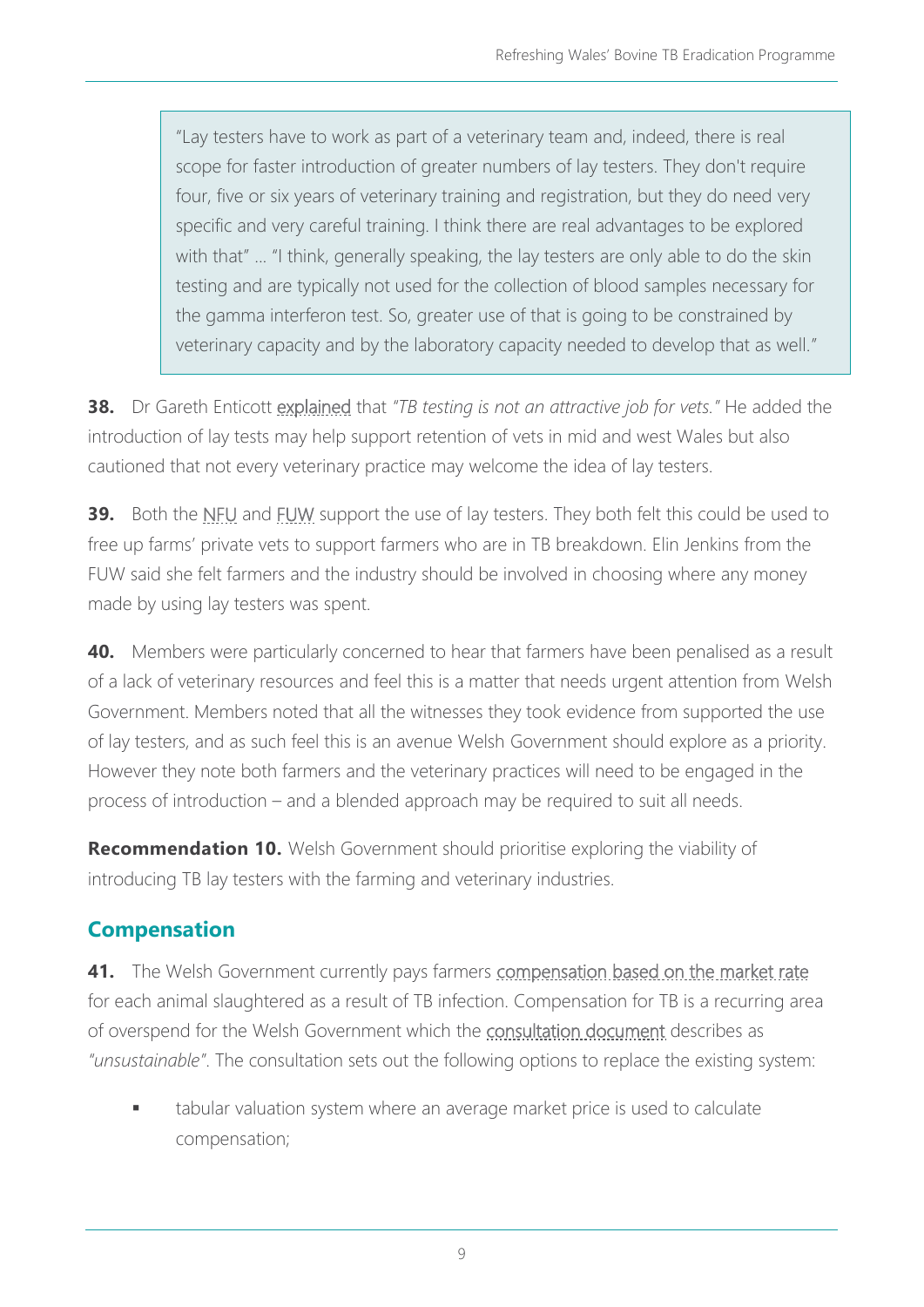"Lay testers have to work as part of a veterinary team and, indeed, there is real scope for faster introduction of greater numbers of lay testers. They don't require four, five or six years of veterinary training and registration, but they do need very specific and very careful training. I think there are real advantages to be explored with that" ... "I think, generally speaking, the lay testers are only able to do the skin testing and are typically not used for the collection of blood samples necessary for the gamma interferon test. So, greater use of that is going to be constrained by veterinary capacity and by the laboratory capacity needed to develop that as well."

**38.** Dr Gareth Enticott [explained](https://record.assembly.wales/Committee/12807#C420976) that *"TB testing is not an attractive job for vets."* He added the introduction of lay tests may help support retention of vets in mid and west Wales but also cautioned that not every veterinary practice may welcome the idea of lay testers.

**39.** Both the [NFU](https://record.assembly.wales/Committee/12807#C421064) and [FUW](https://record.assembly.wales/Committee/12807#C421078) support the use of lay testers. They both felt this could be used to free up farms' private vets to support farmers who are in TB breakdown. Elin Jenkins from the FUW said she felt farmers and the industry should be involved in choosing where any money made by using lay testers was spent.

**40.** Members were particularly concerned to hear that farmers have been penalised as a result of a lack of veterinary resources and feel this is a matter that needs urgent attention from Welsh Government. Members noted that all the witnesses they took evidence from supported the use of lay testers, and as such feel this is an avenue Welsh Government should explore as a priority. However they note both farmers and the veterinary practices will need to be engaged in the process of introduction – and a blended approach may be required to suit all needs.

**Recommendation 10.** Welsh Government should prioritise exploring the viability of introducing TB lay testers with the farming and veterinary industries.

# **Compensation**

**41.** The Welsh Government currently pays farmers [compensation based on the market rate](https://www.legislation.gov.uk/wsi/2010/1379/contents/made) for each animal slaughtered as a result of TB infection. Compensation for TB is a recurring area of overspend for the Welsh Government which the [consultation document](https://gov.wales/sites/default/files/consultations/2021-11/refreshed-tb-consultation-document.pdf) describes as *"unsustainable"*. The consultation sets out the following options to replace the existing system:

tabular valuation system where an average market price is used to calculate compensation;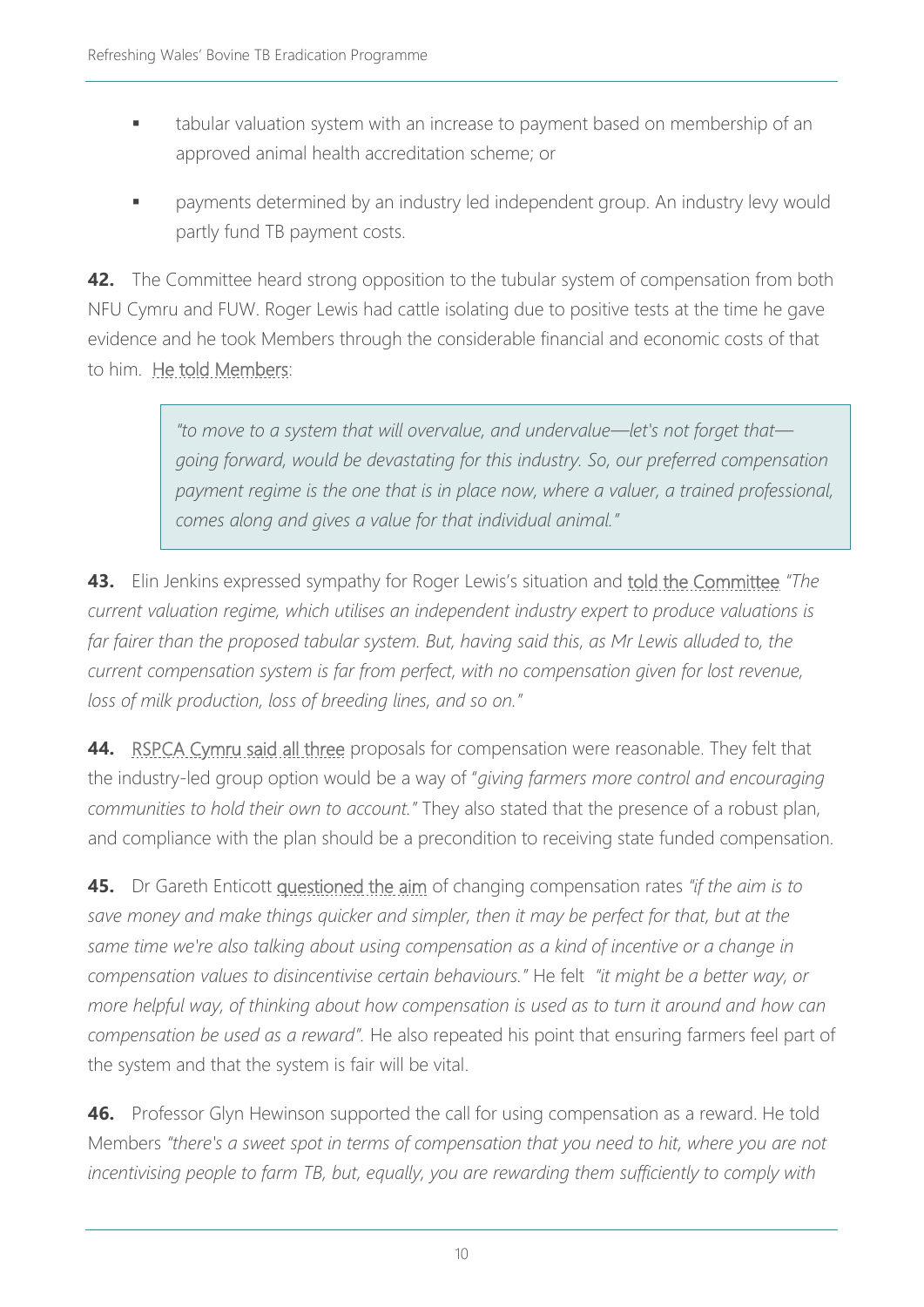- tabular valuation system with an increase to payment based on membership of an approved animal health accreditation scheme; or
- payments determined by an industry led independent group. An industry levy would partly fund TB payment costs.

**42.** The Committee heard strong opposition to the tubular system of compensation from both NFU Cymru and FUW. Roger Lewis had cattle isolating due to positive tests at the time he gave evidence and he took Members through the considerable financial and economic costs of that to him. He told Members:

> *"to move to a system that will overvalue, and undervalue—let's not forget that going forward, would be devastating for this industry. So, our preferred compensation payment regime is the one that is in place now, where a valuer, a trained professional, comes along and gives a value for that individual animal."*

**43.** Elin Jenkins expressed sympathy for Roger Lewis's situation and told the Committee *"The current valuation regime, which utilises an independent industry expert to produce valuations is far fairer than the proposed tabular system. But, having said this, as Mr Lewis alluded to, the current compensation system is far from perfect, with no compensation given for lost revenue, loss of milk production, loss of breeding lines, and so on."*

**44.** RSPCA Cymru said all three proposals for compensation were reasonable. They felt that the industry-led group option would be a way of "*giving farmers more control and encouraging communities to hold their own to account."* They also stated that the presence of a robust plan, and compliance with the plan should be a precondition to receiving state funded compensation.

**45.** Dr Gareth Enticott questioned the aim of changing compensation rates *"if the aim is to save money and make things quicker and simpler, then it may be perfect for that, but at the same time we're also talking about using compensation as a kind of incentive or a change in compensation values to disincentivise certain behaviours."* He felt *"it might be a better way, or more helpful way, of thinking about how compensation is used as to turn it around and how can compensation be used as a reward".* He also repeated his point that ensuring farmers feel part of the system and that the system is fair will be vital.

**46.** Professor Glyn Hewinson supported the call for using compensation as a reward. He told Members *"there's a sweet spot in terms of compensation that you need to hit, where you are not incentivising people to farm TB, but, equally, you are rewarding them sufficiently to comply with*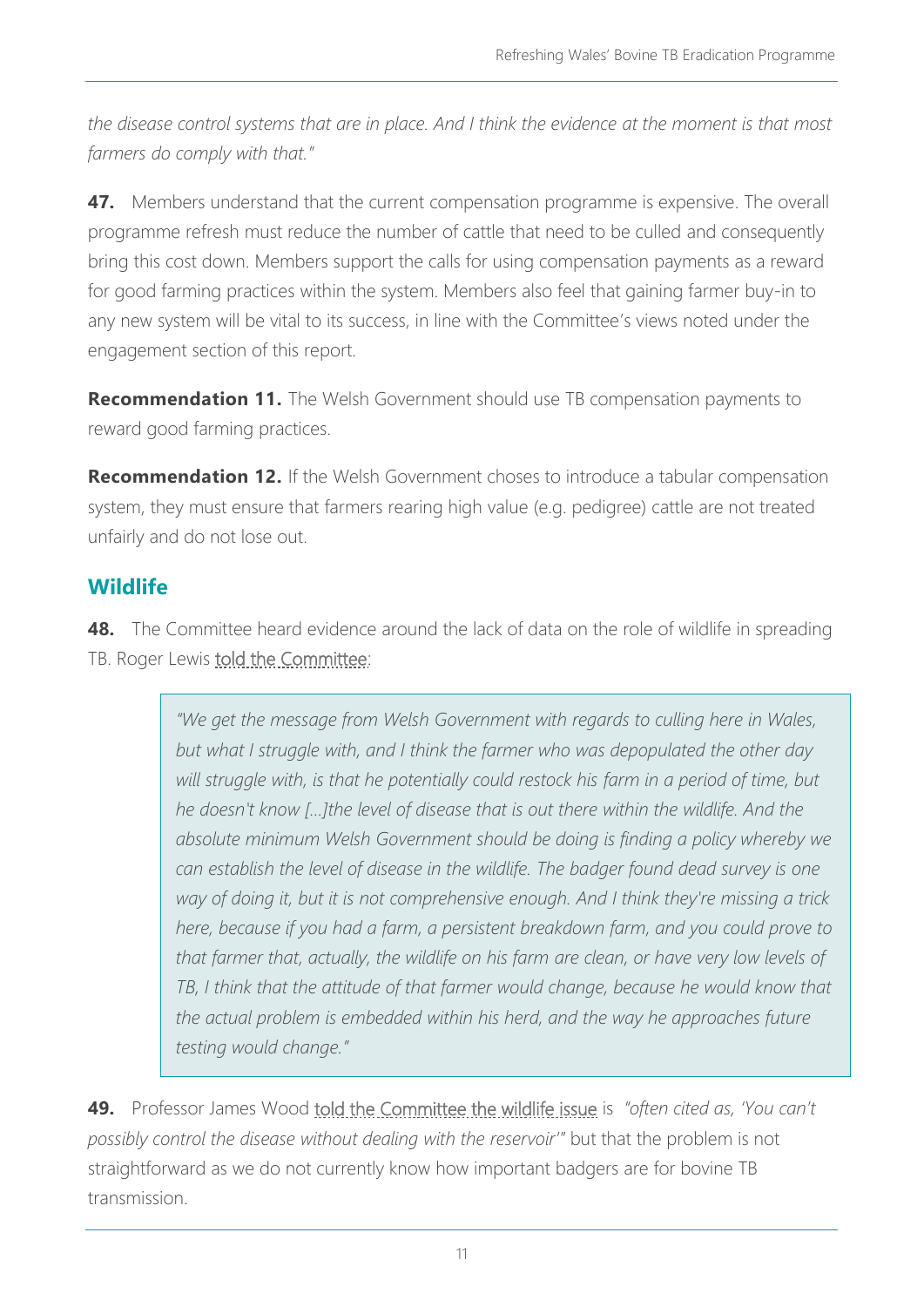*the disease control systems that are in place. And I think the evidence at the moment is that most farmers do comply with that."*

**47.** Members understand that the current compensation programme is expensive. The overall programme refresh must reduce the number of cattle that need to be culled and consequently bring this cost down. Members support the calls for using compensation payments as a reward for good farming practices within the system. Members also feel that gaining farmer buy-in to any new system will be vital to its success, in line with the Committee's views noted under the engagement section of this report.

**Recommendation 11.** The Welsh Government should use TB compensation payments to reward good farming practices.

**Recommendation 12.** If the Welsh Government choses to introduce a tabular compensation system, they must ensure that farmers rearing high value (e.g. pedigree) cattle are not treated unfairly and do not lose out.

## **Wildlife**

**48.** The Committee heard evidence around the lack of data on the role of wildlife in spreading TB. Roger Lewis told the Committee:

> *"We get the message from Welsh Government with regards to culling here in Wales, but what I struggle with, and I think the farmer who was depopulated the other day*  will struggle with, is that he potentially could restock his farm in a period of time, but *he doesn't know […]the level of disease that is out there within the wildlife. And the absolute minimum Welsh Government should be doing is finding a policy whereby we can establish the level of disease in the wildlife. The badger found dead survey is one way of doing it, but it is not comprehensive enough. And I think they're missing a trick here, because if you had a farm, a persistent breakdown farm, and you could prove to that farmer that, actually, the wildlife on his farm are clean, or have very low levels of TB, I think that the attitude of that farmer would change, because he would know that the actual problem is embedded within his herd, and the way he approaches future testing would change."*

**49.** Professor James Wood told the Committee the wildlife issue is *"often cited as, 'You can't possibly control the disease without dealing with the reservoir'"* but that the problem is not straightforward as we do not currently know how important badgers are for bovine TB transmission.